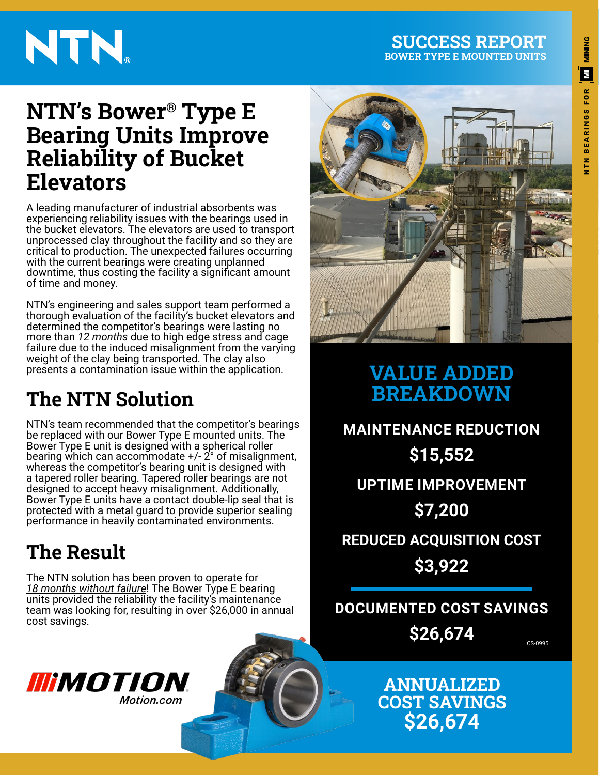#### **SUCCESS REPORT BOWER TYPE E MOUNTED UNITS**

# NTN.

# **MINING**  $\left[ \boldsymbol{\Xi} \right]$ **BEARINGS FOR** NTN BEARINGS FOR $rac{z}{z}$

### **NTN's Bower® Type E Bearing Units Improve Reliability of Bucket Elevators**

A leading manufacturer of industrial absorbents was experiencing reliability issues with the bearings used in the bucket elevators. The elevators are used to transport unprocessed clay throughout the facility and so they are critical to production. The unexpected failures occurring with the current bearings were creating unplanned downtime, thus costing the facility a significant amount of time and money.

NTN's engineering and sales support team performed a thorough evaluation of the facility's bucket elevators and determined the competitor's bearings were lasting no more than *12 months* due to high edge stress and cage failure due to the induced misalignment from the varying weight of the clay being transported. The clay also presents a contamination issue within the application.

### **The NTN Solution**

NTN's team recommended that the competitor's bearings be replaced with our Bower Type E mounted units. The Bower Type E unit is designed with a spherical roller bearing which can accommodate +/- 2° of misalignment, whereas the competitor's bearing unit is designed with a tapered roller bearing. Tapered roller bearings are not designed to accept heavy misalignment. Additionally, Bower Type E units have a contact double-lip seal that is protected with a metal guard to provide superior sealing performance in heavily contaminated environments.

### **The Result**

The NTN solution has been proven to operate for *18 months without failure*! The Bower Type E bearing units provided the reliability the facility's maintenance team was looking for, resulting in over \$26,000 in annual cost savings.





### **VALUE ADDED BREAKDOWN**

**UPTIME IMPROVEMENT \$7,200 REDUCED ACQUISITION COST \$3,922 MAINTENANCE REDUCTION \$15,552**

### **DOCUMENTED COST SAVINGS \$26,674**

CS-0995

**ANNUALIZED COST SAVINGS \$26,674**